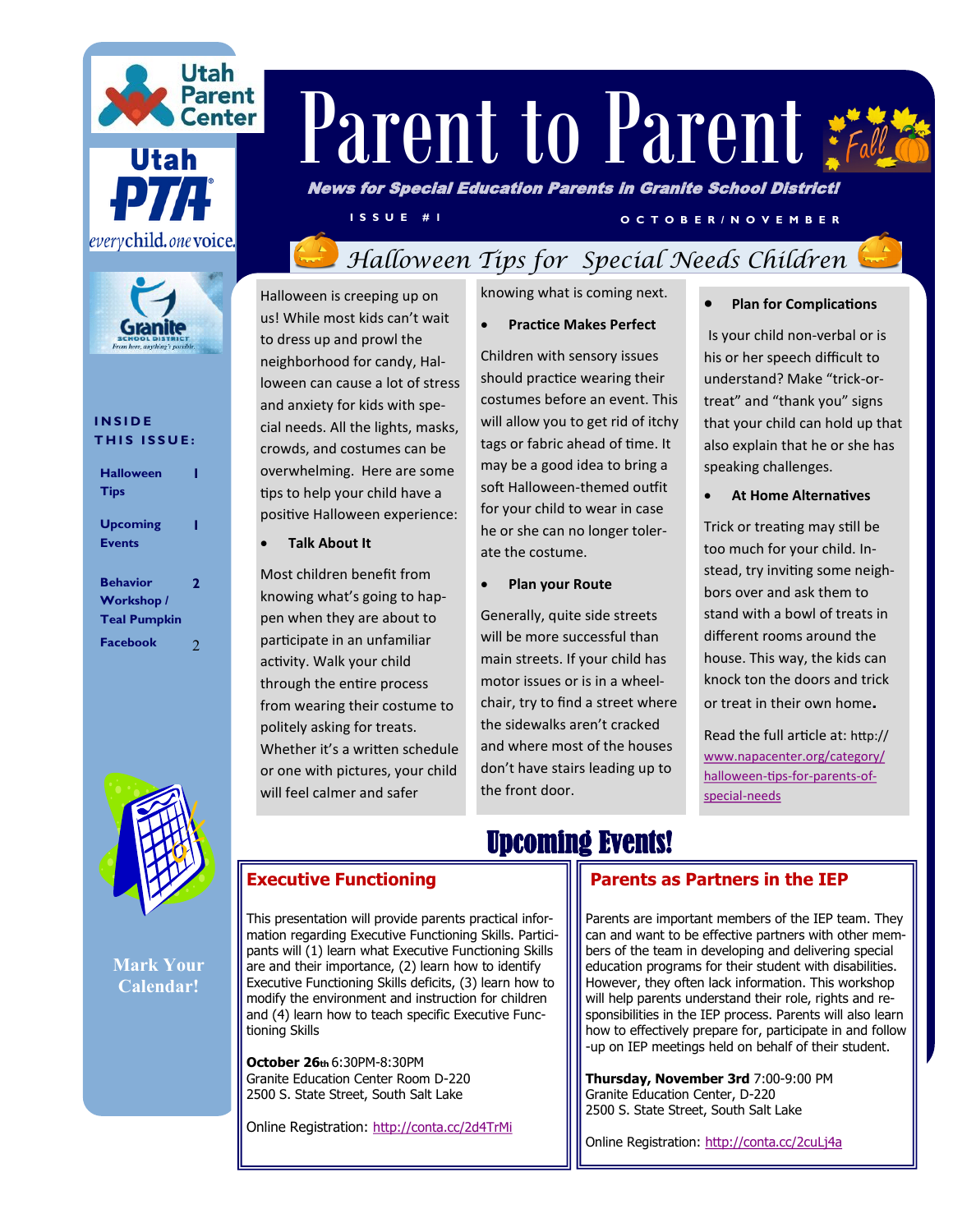





#### **I N S I D E THIS ISSUE:**

| <b>Halloween</b><br><b>Tips</b>                      |   |
|------------------------------------------------------|---|
| Upcoming<br><b>Events</b>                            | ı |
| <b>Behavior</b><br>Workshop /<br><b>Teal Pumpkin</b> | 2 |
| <b>Facebook</b>                                      | 2 |



**Mark Your Calendar!**

# Parent to Parent  $\ddot{\varepsilon}$

News for Special Education Parents in Granite School District!

**O C T O B E R / N O V E MB E R AND V E MB E R** 

# *Halloween Tips for Special Needs Children*

Halloween is creeping up on us! While most kids can't wait to dress up and prowl the neighborhood for candy, Halloween can cause a lot of stress and anxiety for kids with special needs. All the lights, masks, crowds, and costumes can be overwhelming. Here are some tips to help your child have a positive Halloween experience:

**Talk About It**

Most children benefit from knowing what's going to happen when they are about to participate in an unfamiliar activity. Walk your child through the entire process from wearing their costume to politely asking for treats. Whether it's a written schedule or one with pictures, your child will feel calmer and safer

knowing what is coming next.

**Practice Makes Perfect**

Children with sensory issues should practice wearing their costumes before an event. This will allow you to get rid of itchy tags or fabric ahead of time. It may be a good idea to bring a soft Halloween-themed outfit for your child to wear in case he or she can no longer tolerate the costume.

#### **Plan your Route**

Generally, quite side streets will be more successful than main streets. If your child has motor issues or is in a wheelchair, try to find a street where the sidewalks aren't cracked and where most of the houses don't have stairs leading up to the front door.

Upcoming Events!

**Plan for Complications**

Is your child non-verbal or is his or her speech difficult to understand? Make "trick-ortreat" and "thank you" signs that your child can hold up that also explain that he or she has speaking challenges.

**At Home Alternatives**

Trick or treating may still be too much for your child. Instead, try inviting some neighbors over and ask them to stand with a bowl of treats in different rooms around the house. This way, the kids can knock ton the doors and trick or treat in their own home.

Read the full article at: http:// [www.napacenter.org/category/](http://www.napacenter.org/category/halloween-tips-for-parents-of-special-needs) [halloween](http://www.napacenter.org/category/halloween-tips-for-parents-of-special-needs)-tips-for-parents-of[special](http://www.napacenter.org/category/halloween-tips-for-parents-of-special-needs)-needs

## **Executive Functioning**

This presentation will provide parents practical information regarding Executive Functioning Skills. Participants will (1) learn what Executive Functioning Skills are and their importance, (2) learn how to identify Executive Functioning Skills deficits, (3) learn how to modify the environment and instruction for children and (4) learn how to teach specific Executive Functioning Skills

**October 26th** 6:30PM-8:30PM Granite Education Center Room D-220 2500 S. State Street, South Salt Lake

Online Registration: <http://conta.cc/2d4TrMi>

### **[Pa](http://conta.cc/1OTrsaY)rents as Partners in the IEP**

Parents are important members of the IEP team. They can and want to be effective partners with other members of the team in developing and delivering special education programs for their student with disabilities. However, they often lack information. This workshop will help parents understand their role, rights and responsibilities in the IEP process. Parents will also learn how to effectively prepare for, participate in and follow -up on IEP meetings held on behalf of their student.

**Thursday, November 3rd** 7:00-9:00 PM Granite Education Center, D-220 2500 S. State Street, South Salt Lake

Online Registration:<http://conta.cc/2cuLj4a>